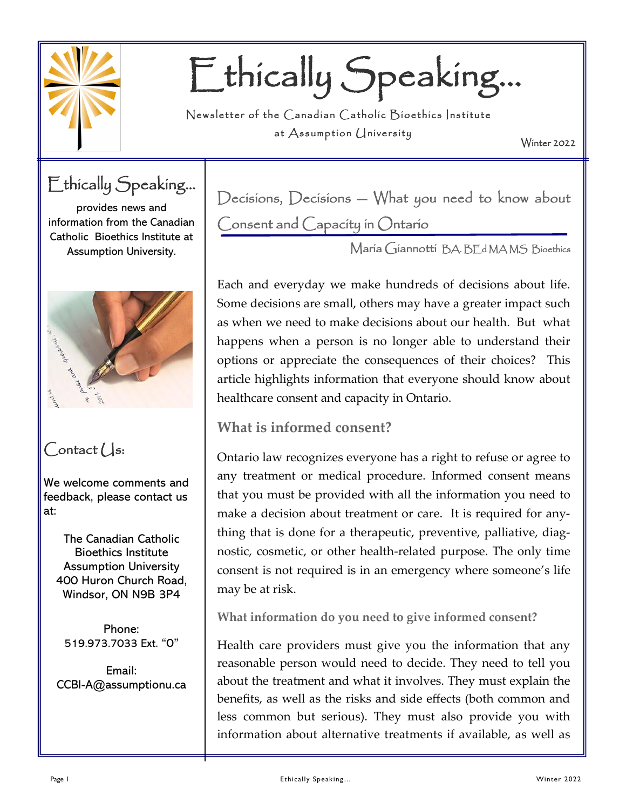

# Ethically Speaking…

Newsletter of the Canadian Catholic Bioethics Institute at  $\Lambda$ ssumption  $\Lambda$ niversity

Winter 2022

Ethically Speaking...

provides news and information from the Canadian Catholic Bioethics Institute at Assumption University.



## $Context$

We welcome comments and feedback, please contact us at:

The Canadian Catholic Bioethics Institute Assumption University 400 Huron Church Road, Windsor, ON N9B 3P4

Phone: 519.973.7033 Ext. "0"

Email: CCBI-A@assumptionu.ca Decisions, Decisions — What you need to know about Consent and Capacity in Ontario

Maria Giannotti BA. BEd MA MS Bioethics

Each and everyday we make hundreds of decisions about life. Some decisions are small, others may have a greater impact such as when we need to make decisions about our health. But what happens when a person is no longer able to understand their options or appreciate the consequences of their choices? This article highlights information that everyone should know about healthcare consent and capacity in Ontario.

## **What is informed consent?**

Ontario law recognizes everyone has a right to refuse or agree to any treatment or medical procedure. Informed consent means that you must be provided with all the information you need to make a decision about treatment or care. It is required for anything that is done for a therapeutic, preventive, palliative, diagnostic, cosmetic, or other health-related purpose. The only time consent is not required is in an emergency where someone's life may be at risk.

**What information do you need to give informed consent?**

Health care providers must give you the information that any reasonable person would need to decide. They need to tell you about the treatment and what it involves. They must explain the benefits, as well as the risks and side effects (both common and less common but serious). They must also provide you with information about alternative treatments if available, as well as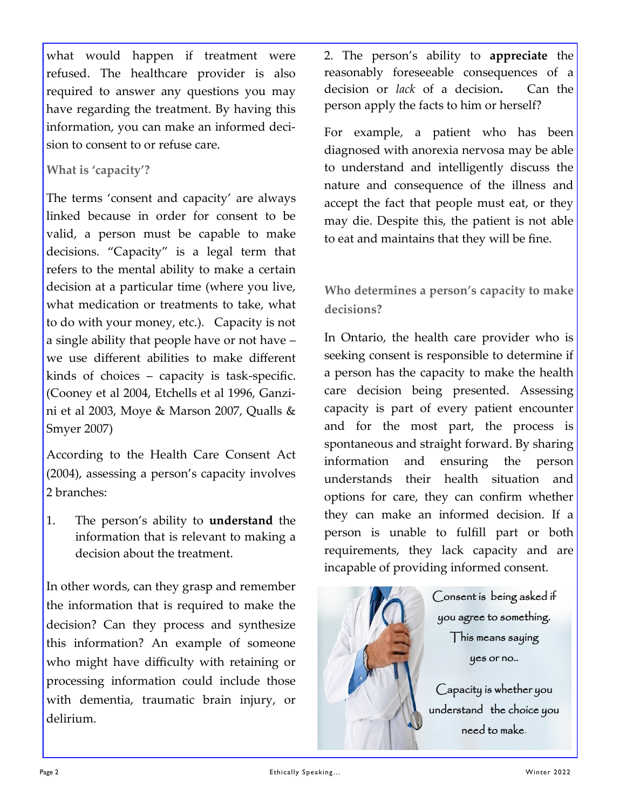what would happen if treatment were refused. The healthcare provider is also required to answer any questions you may have regarding the treatment. By having this information, you can make an informed decision to consent to or refuse care.

#### **What is 'capacity'?**

The terms 'consent and capacity' are always linked because in order for consent to be valid, a person must be capable to make decisions. "Capacity" is a legal term that refers to the mental ability to make a certain decision at a particular time (where you live, what medication or treatments to take, what to do with your money, etc.). Capacity is not a single ability that people have or not have – we use different abilities to make different kinds of choices – capacity is task-specific. (Cooney et al 2004, Etchells et al 1996, Ganzini et al 2003, Moye & Marson 2007, Qualls & Smyer 2007)

According to the Health Care Consent Act (2004), assessing a person's capacity involves 2 branches:

1. The person's ability to **understand** the information that is relevant to making a decision about the treatment.

In other words, can they grasp and remember the information that is required to make the decision? Can they process and synthesize this information? An example of someone who might have difficulty with retaining or processing information could include those with dementia, traumatic brain injury, or delirium.

2. The person's ability to **appreciate** the reasonably foreseeable consequences of a decision or *lack* of a decision**.** Can the person apply the facts to him or herself?

For example, a patient who has been diagnosed with anorexia nervosa may be able to understand and intelligently discuss the nature and consequence of the illness and accept the fact that people must eat, or they may die. Despite this, the patient is not able to eat and maintains that they will be fine.

### **Who determines a person's capacity to make decisions?**

In Ontario, the health care provider who is seeking consent is responsible to determine if a person has the capacity to make the health care decision being presented. Assessing capacity is part of every patient encounter and for the most part, the process is spontaneous and straight forward. By sharing information and ensuring the person understands their health situation and options for care, they can confirm whether they can make an informed decision. If a person is unable to fulfill part or both requirements, they lack capacity and are incapable of providing informed consent.



Consent is being asked if you agree to something. This means saying yes or no..

Capacity is whether you understand the choice you need to make.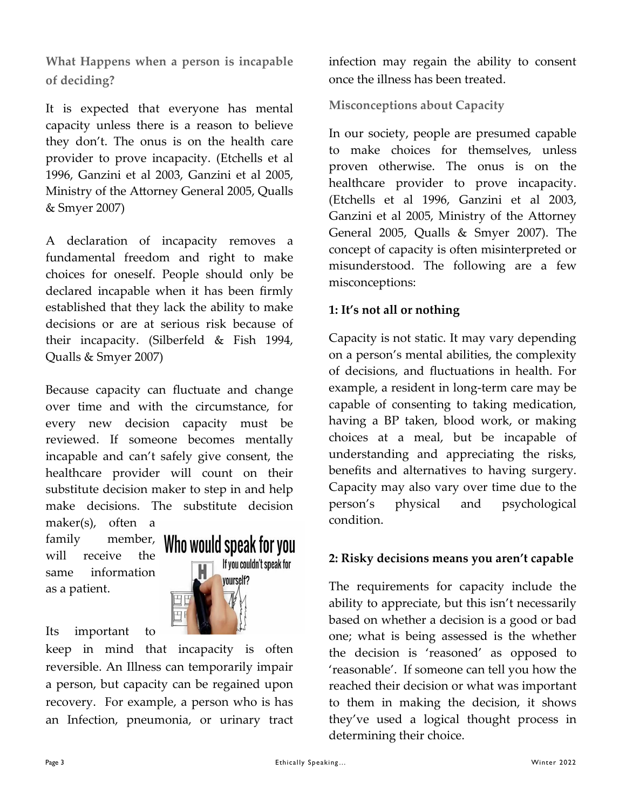**What Happens when a person is incapable of deciding?**

It is expected that everyone has mental capacity unless there is a reason to believe they don't. The onus is on the health care provider to prove incapacity. (Etchells et al 1996, Ganzini et al 2003, Ganzini et al 2005, Ministry of the Attorney General 2005, Qualls & Smyer 2007)

A declaration of incapacity removes a fundamental freedom and right to make choices for oneself. People should only be declared incapable when it has been firmly established that they lack the ability to make decisions or are at serious risk because of their incapacity. (Silberfeld & Fish 1994, Qualls & Smyer 2007)

Because capacity can fluctuate and change over time and with the circumstance, for every new decision capacity must be reviewed. If someone becomes mentally incapable and can't safely give consent, the healthcare provider will count on their substitute decision maker to step in and help make decisions. The substitute decision maker(s), often a

family member, will receive the same information as a patient.



Its important to

keep in mind that incapacity is often reversible. An Illness can temporarily impair a person, but capacity can be regained upon recovery. For example, a person who is has an Infection, pneumonia, or urinary tract infection may regain the ability to consent once the illness has been treated.

**Misconceptions about Capacity**

In our society, people are presumed capable to make choices for themselves, unless proven otherwise. The onus is on the healthcare provider to prove incapacity. (Etchells et al 1996, Ganzini et al 2003, Ganzini et al 2005, Ministry of the Attorney General 2005, Qualls & Smyer 2007). The concept of capacity is often misinterpreted or misunderstood. The following are a few misconceptions:

#### **1: It's not all or nothing**

Capacity is not static. It may vary depending on a person's mental abilities, the complexity of decisions, and fluctuations in health. For example, a resident in long-term care may be capable of consenting to taking medication, having a BP taken, blood work, or making choices at a meal, but be incapable of understanding and appreciating the risks, benefits and alternatives to having surgery. Capacity may also vary over time due to the person's physical and psychological condition.

#### **2: Risky decisions means you aren't capable**

The requirements for capacity include the ability to appreciate, but this isn't necessarily based on whether a decision is a good or bad one; what is being assessed is the whether the decision is 'reasoned' as opposed to 'reasonable'. If someone can tell you how the reached their decision or what was important to them in making the decision, it shows they've used a logical thought process in determining their choice.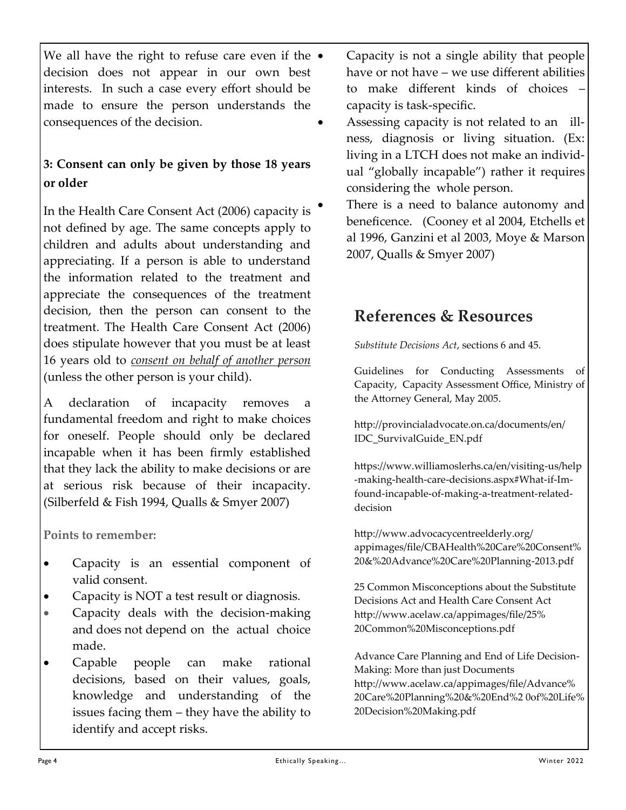We all have the right to refuse care even if the  $\bullet$ decision does not appear in our own best interests. In such a case every effort should be made to ensure the person understands the consequences of the decision.

### **3: Consent can only be given by those 18 years or older**

In the Health Care Consent Act (2006) capacity is not defined by age. The same concepts apply to children and adults about understanding and appreciating. If a person is able to understand the information related to the treatment and appreciate the consequences of the treatment decision, then the person can consent to the treatment. The Health Care Consent Act (2006) does stipulate however that you must be at least 16 years old to *consent on behalf of another person* (unless the other person is your child).

A declaration of incapacity removes a fundamental freedom and right to make choices for oneself. People should only be declared incapable when it has been firmly established that they lack the ability to make decisions or are at serious risk because of their incapacity. (Silberfeld & Fish 1994, Qualls & Smyer 2007)

**Points to remember:**

- Capacity is an essential component of valid consent.
- Capacity is NOT a test result or diagnosis.
- Capacity deals with the decision-making and does not depend on the actual choice made.
- Capable people can make rational decisions, based on their values, goals, knowledge and understanding of the issues facing them – they have the ability to identify and accept risks.
- Capacity is not a single ability that people have or not have – we use different abilities to make different kinds of choices – capacity is task-specific.
- Assessing capacity is not related to an illness, diagnosis or living situation. (Ex: living in a LTCH does not make an individual "globally incapable") rather it requires considering the whole person.
- There is a need to balance autonomy and beneficence. (Cooney et al 2004, Etchells et al 1996, Ganzini et al 2003, Moye & Marson 2007, Qualls & Smyer 2007)

## **References & Resources**

*Substitute Decisions Act*, sections 6 and 45.

Guidelines for Conducting Assessments of Capacity, Capacity Assessment Office, Ministry of the Attorney General, May 2005.

http://provincialadvocate.on.ca/documents/en/ IDC\_SurvivalGuide\_EN.pdf

https://www.williamoslerhs.ca/en/visiting-us/help -making-health-care-decisions.aspx#What-if-Imfound-incapable-of-making-a-treatment-relateddecision

[http://www.advocacycentreelderly.org/](http://www.advocacycentreelderly.org/appimages/file/CBAHealth%20Care%20Consent%20&%20Advance%20Care%20Planning-2013.pdf) [appimages/file/CBAHealth%20Care%20Consent%](http://www.advocacycentreelderly.org/appimages/file/CBAHealth%20Care%20Consent%20&%20Advance%20Care%20Planning-2013.pdf) [20&%20Advance%20Care%20Planning](http://www.advocacycentreelderly.org/appimages/file/CBAHealth%20Care%20Consent%20&%20Advance%20Care%20Planning-2013.pdf)-2013.pdf

25 Common Misconceptions about the Substitute Decisions Act and Health Care Consent Act http://www.acelaw.ca/appimages/file/25% 20Common%20Misconceptions.pdf

Advance Care Planning and End of Life Decision-Making: More than just Documents http://www.acelaw.ca/appimages/file/Advance% 20Care%20Planning%20&%20End%2 0of%20Life% 20Decision%20Making.pdf